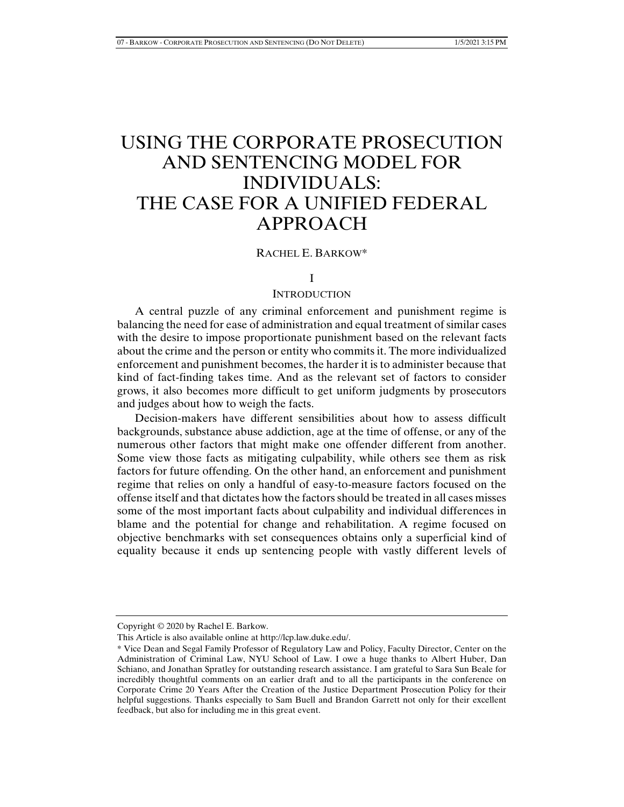# USING THE CORPORATE PROSECUTION AND SENTENCING MODEL FOR INDIVIDUALS: THE CASE FOR A UNIFIED FEDERAL APPROACH

#### RACHEL E. BARKOW\*

#### I

### **INTRODUCTION**

A central puzzle of any criminal enforcement and punishment regime is balancing the need for ease of administration and equal treatment of similar cases with the desire to impose proportionate punishment based on the relevant facts about the crime and the person or entity who commits it. The more individualized enforcement and punishment becomes, the harder it is to administer because that kind of fact-finding takes time. And as the relevant set of factors to consider grows, it also becomes more difficult to get uniform judgments by prosecutors and judges about how to weigh the facts.

Decision-makers have different sensibilities about how to assess difficult backgrounds, substance abuse addiction, age at the time of offense, or any of the numerous other factors that might make one offender different from another. Some view those facts as mitigating culpability, while others see them as risk factors for future offending. On the other hand, an enforcement and punishment regime that relies on only a handful of easy-to-measure factors focused on the offense itself and that dictates how the factors should be treated in all cases misses some of the most important facts about culpability and individual differences in blame and the potential for change and rehabilitation. A regime focused on objective benchmarks with set consequences obtains only a superficial kind of equality because it ends up sentencing people with vastly different levels of

Copyright © 2020 by Rachel E. Barkow.

This Article is also available online at http://lcp.law.duke.edu/.

<sup>\*</sup> Vice Dean and Segal Family Professor of Regulatory Law and Policy, Faculty Director, Center on the Administration of Criminal Law, NYU School of Law. I owe a huge thanks to Albert Huber, Dan Schiano, and Jonathan Spratley for outstanding research assistance. I am grateful to Sara Sun Beale for incredibly thoughtful comments on an earlier draft and to all the participants in the conference on Corporate Crime 20 Years After the Creation of the Justice Department Prosecution Policy for their helpful suggestions. Thanks especially to Sam Buell and Brandon Garrett not only for their excellent feedback, but also for including me in this great event.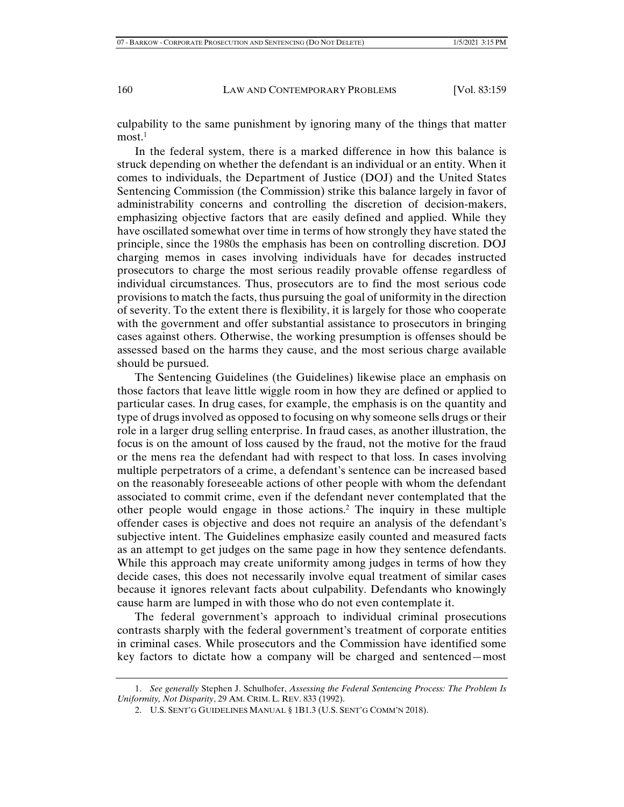culpability to the same punishment by ignoring many of the things that matter most $1$ 

In the federal system, there is a marked difference in how this balance is struck depending on whether the defendant is an individual or an entity. When it comes to individuals, the Department of Justice (DOJ) and the United States Sentencing Commission (the Commission) strike this balance largely in favor of administrability concerns and controlling the discretion of decision-makers, emphasizing objective factors that are easily defined and applied. While they have oscillated somewhat over time in terms of how strongly they have stated the principle, since the 1980s the emphasis has been on controlling discretion. DOJ charging memos in cases involving individuals have for decades instructed prosecutors to charge the most serious readily provable offense regardless of individual circumstances. Thus, prosecutors are to find the most serious code provisions to match the facts, thus pursuing the goal of uniformity in the direction of severity. To the extent there is flexibility, it is largely for those who cooperate with the government and offer substantial assistance to prosecutors in bringing cases against others. Otherwise, the working presumption is offenses should be assessed based on the harms they cause, and the most serious charge available should be pursued.

The Sentencing Guidelines (the Guidelines) likewise place an emphasis on those factors that leave little wiggle room in how they are defined or applied to particular cases. In drug cases, for example, the emphasis is on the quantity and type of drugs involved as opposed to focusing on why someone sells drugs or their role in a larger drug selling enterprise. In fraud cases, as another illustration, the focus is on the amount of loss caused by the fraud, not the motive for the fraud or the mens rea the defendant had with respect to that loss. In cases involving multiple perpetrators of a crime, a defendant's sentence can be increased based on the reasonably foreseeable actions of other people with whom the defendant associated to commit crime, even if the defendant never contemplated that the other people would engage in those actions.2 The inquiry in these multiple offender cases is objective and does not require an analysis of the defendant's subjective intent. The Guidelines emphasize easily counted and measured facts as an attempt to get judges on the same page in how they sentence defendants. While this approach may create uniformity among judges in terms of how they decide cases, this does not necessarily involve equal treatment of similar cases because it ignores relevant facts about culpability. Defendants who knowingly cause harm are lumped in with those who do not even contemplate it.

The federal government's approach to individual criminal prosecutions contrasts sharply with the federal government's treatment of corporate entities in criminal cases. While prosecutors and the Commission have identified some key factors to dictate how a company will be charged and sentenced—most

 <sup>1.</sup> *See generally* Stephen J. Schulhofer, *Assessing the Federal Sentencing Process: The Problem Is Uniformity, Not Disparity*, 29 AM. CRIM. L. REV. 833 (1992).

 <sup>2.</sup> U.S. SENT'G GUIDELINES MANUAL § 1B1.3 (U.S. SENT'G COMM'N 2018).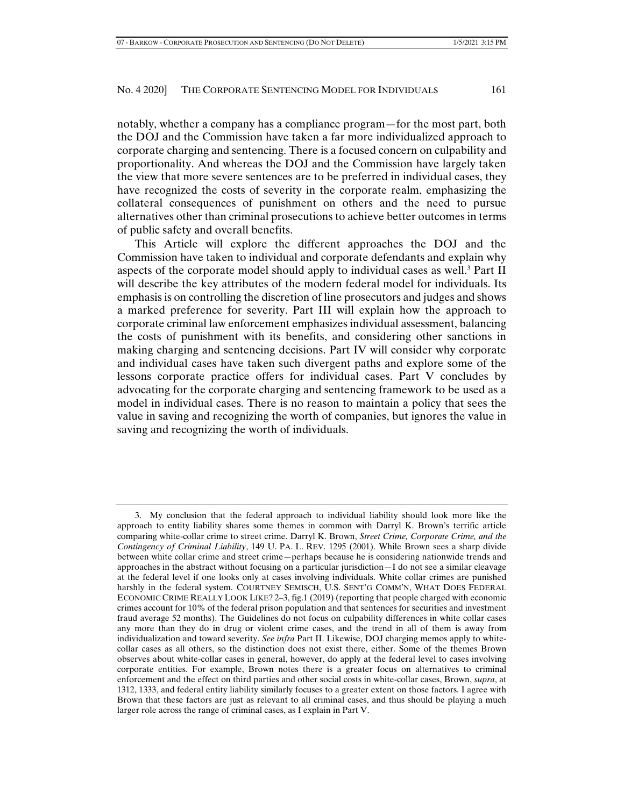notably, whether a company has a compliance program—for the most part, both the DOJ and the Commission have taken a far more individualized approach to corporate charging and sentencing. There is a focused concern on culpability and proportionality. And whereas the DOJ and the Commission have largely taken the view that more severe sentences are to be preferred in individual cases, they

have recognized the costs of severity in the corporate realm, emphasizing the collateral consequences of punishment on others and the need to pursue alternatives other than criminal prosecutions to achieve better outcomes in terms of public safety and overall benefits.

This Article will explore the different approaches the DOJ and the Commission have taken to individual and corporate defendants and explain why aspects of the corporate model should apply to individual cases as well.<sup>3</sup> Part II will describe the key attributes of the modern federal model for individuals. Its emphasis is on controlling the discretion of line prosecutors and judges and shows a marked preference for severity. Part III will explain how the approach to corporate criminal law enforcement emphasizes individual assessment, balancing the costs of punishment with its benefits, and considering other sanctions in making charging and sentencing decisions. Part IV will consider why corporate and individual cases have taken such divergent paths and explore some of the lessons corporate practice offers for individual cases. Part V concludes by advocating for the corporate charging and sentencing framework to be used as a model in individual cases. There is no reason to maintain a policy that sees the value in saving and recognizing the worth of companies, but ignores the value in saving and recognizing the worth of individuals.

 <sup>3.</sup> My conclusion that the federal approach to individual liability should look more like the approach to entity liability shares some themes in common with Darryl K. Brown's terrific article comparing white-collar crime to street crime. Darryl K. Brown, *Street Crime, Corporate Crime, and the Contingency of Criminal Liability*, 149 U. PA. L. REV. 1295 (2001). While Brown sees a sharp divide between white collar crime and street crime—perhaps because he is considering nationwide trends and approaches in the abstract without focusing on a particular jurisdiction—I do not see a similar cleavage at the federal level if one looks only at cases involving individuals. White collar crimes are punished harshly in the federal system. COURTNEY SEMISCH, U.S. SENT'G COMM'N, WHAT DOES FEDERAL ECONOMIC CRIME REALLY LOOK LIKE? 2–3, fig.1 (2019) (reporting that people charged with economic crimes account for 10% of the federal prison population and that sentences for securities and investment fraud average 52 months). The Guidelines do not focus on culpability differences in white collar cases any more than they do in drug or violent crime cases, and the trend in all of them is away from individualization and toward severity. *See infra* Part II. Likewise, DOJ charging memos apply to whitecollar cases as all others, so the distinction does not exist there, either. Some of the themes Brown observes about white-collar cases in general, however, do apply at the federal level to cases involving corporate entities. For example, Brown notes there is a greater focus on alternatives to criminal enforcement and the effect on third parties and other social costs in white-collar cases, Brown, *supra*, at 1312, 1333, and federal entity liability similarly focuses to a greater extent on those factors. I agree with Brown that these factors are just as relevant to all criminal cases, and thus should be playing a much larger role across the range of criminal cases, as I explain in Part V.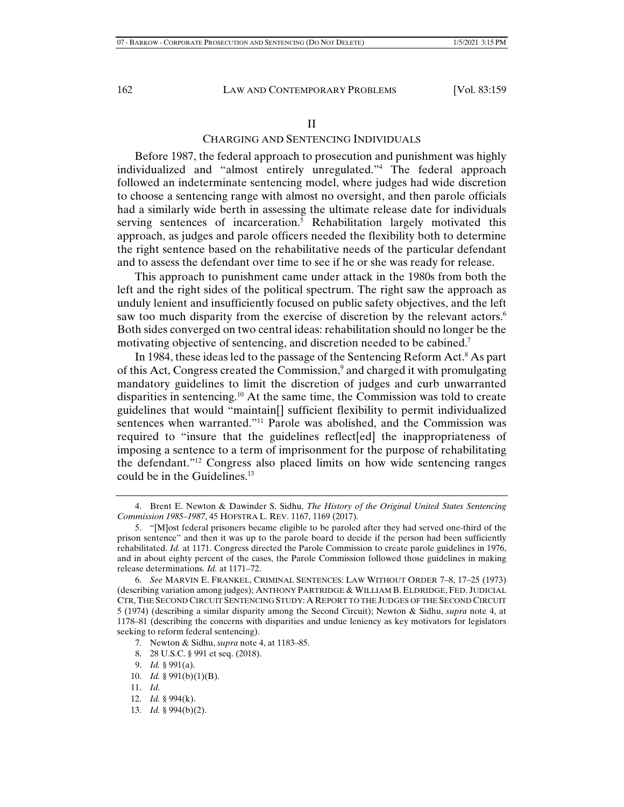#### II

## CHARGING AND SENTENCING INDIVIDUALS

Before 1987, the federal approach to prosecution and punishment was highly individualized and "almost entirely unregulated."4 The federal approach followed an indeterminate sentencing model, where judges had wide discretion to choose a sentencing range with almost no oversight, and then parole officials had a similarly wide berth in assessing the ultimate release date for individuals serving sentences of incarceration.<sup>5</sup> Rehabilitation largely motivated this approach, as judges and parole officers needed the flexibility both to determine the right sentence based on the rehabilitative needs of the particular defendant and to assess the defendant over time to see if he or she was ready for release.

This approach to punishment came under attack in the 1980s from both the left and the right sides of the political spectrum. The right saw the approach as unduly lenient and insufficiently focused on public safety objectives, and the left saw too much disparity from the exercise of discretion by the relevant actors.<sup>6</sup> Both sides converged on two central ideas: rehabilitation should no longer be the motivating objective of sentencing, and discretion needed to be cabined.<sup>7</sup>

In 1984, these ideas led to the passage of the Sentencing Reform Act.<sup>8</sup> As part of this Act, Congress created the Commission,<sup>9</sup> and charged it with promulgating mandatory guidelines to limit the discretion of judges and curb unwarranted disparities in sentencing.10 At the same time, the Commission was told to create guidelines that would "maintain[] sufficient flexibility to permit individualized sentences when warranted."11 Parole was abolished, and the Commission was required to "insure that the guidelines reflect[ed] the inappropriateness of imposing a sentence to a term of imprisonment for the purpose of rehabilitating the defendant."12 Congress also placed limits on how wide sentencing ranges could be in the Guidelines.<sup>13</sup>

- 7. Newton & Sidhu, *supra* note 4, at 1183–85.
- 8. 28 U.S.C. § 991 et seq. (2018).
- 9. *Id.* § 991(a).
- 10. *Id.* § 991(b)(1)(B).
- 11. *Id.*
- 12. *Id.* § 994(k).
- 13. *Id.* § 994(b)(2).

 <sup>4.</sup> Brent E. Newton & Dawinder S. Sidhu, *The History of the Original United States Sentencing Commission 1985–1987*, 45 HOFSTRA L. REV. 1167, 1169 (2017).

 <sup>5. &</sup>quot;[M]ost federal prisoners became eligible to be paroled after they had served one-third of the prison sentence" and then it was up to the parole board to decide if the person had been sufficiently rehabilitated. *Id.* at 1171. Congress directed the Parole Commission to create parole guidelines in 1976, and in about eighty percent of the cases, the Parole Commission followed those guidelines in making release determinations. *Id.* at 1171–72.

 <sup>6.</sup> *See* MARVIN E. FRANKEL, CRIMINAL SENTENCES: LAW WITHOUT ORDER 7–8, 17–25 (1973) (describing variation among judges); ANTHONY PARTRIDGE & WILLIAM B. ELDRIDGE, FED. JUDICIAL CTR,THE SECOND CIRCUIT SENTENCING STUDY: A REPORT TO THE JUDGES OF THE SECOND CIRCUIT 5 (1974) (describing a similar disparity among the Second Circuit); Newton & Sidhu, *supra* note 4, at 1178–81 (describing the concerns with disparities and undue leniency as key motivators for legislators seeking to reform federal sentencing).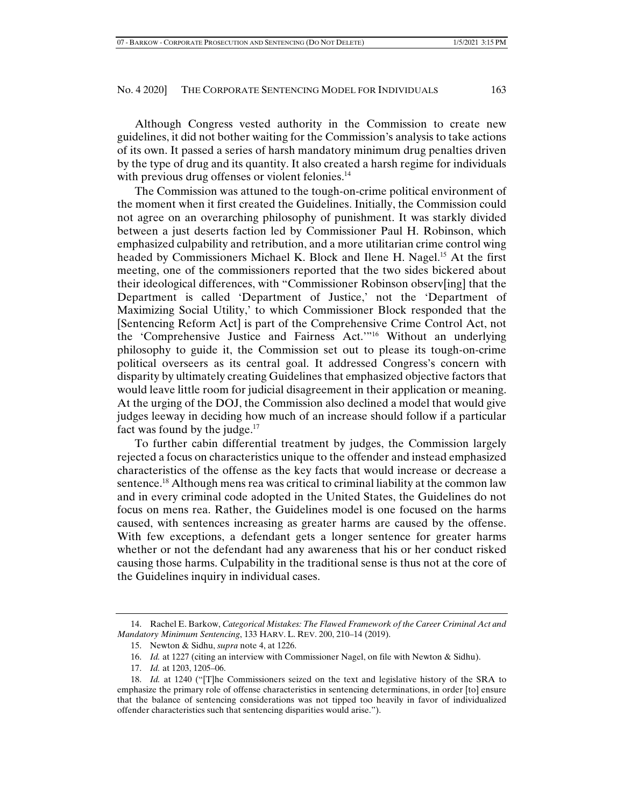Although Congress vested authority in the Commission to create new guidelines, it did not bother waiting for the Commission's analysis to take actions of its own. It passed a series of harsh mandatory minimum drug penalties driven by the type of drug and its quantity. It also created a harsh regime for individuals with previous drug offenses or violent felonies.<sup>14</sup>

The Commission was attuned to the tough-on-crime political environment of the moment when it first created the Guidelines. Initially, the Commission could not agree on an overarching philosophy of punishment. It was starkly divided between a just deserts faction led by Commissioner Paul H. Robinson, which emphasized culpability and retribution, and a more utilitarian crime control wing headed by Commissioners Michael K. Block and Ilene H. Nagel.<sup>15</sup> At the first meeting, one of the commissioners reported that the two sides bickered about their ideological differences, with "Commissioner Robinson observ[ing] that the Department is called 'Department of Justice,' not the 'Department of Maximizing Social Utility,' to which Commissioner Block responded that the [Sentencing Reform Act] is part of the Comprehensive Crime Control Act, not the 'Comprehensive Justice and Fairness Act.'"16 Without an underlying philosophy to guide it, the Commission set out to please its tough-on-crime political overseers as its central goal. It addressed Congress's concern with disparity by ultimately creating Guidelines that emphasized objective factors that would leave little room for judicial disagreement in their application or meaning. At the urging of the DOJ, the Commission also declined a model that would give judges leeway in deciding how much of an increase should follow if a particular fact was found by the judge. $17$ 

To further cabin differential treatment by judges, the Commission largely rejected a focus on characteristics unique to the offender and instead emphasized characteristics of the offense as the key facts that would increase or decrease a sentence.<sup>18</sup> Although mens rea was critical to criminal liability at the common law and in every criminal code adopted in the United States, the Guidelines do not focus on mens rea. Rather, the Guidelines model is one focused on the harms caused, with sentences increasing as greater harms are caused by the offense. With few exceptions, a defendant gets a longer sentence for greater harms whether or not the defendant had any awareness that his or her conduct risked causing those harms. Culpability in the traditional sense is thus not at the core of the Guidelines inquiry in individual cases.

 <sup>14.</sup> Rachel E. Barkow, *Categorical Mistakes: The Flawed Framework of the Career Criminal Act and Mandatory Minimum Sentencing*, 133 HARV. L. REV. 200, 210–14 (2019).

 <sup>15.</sup> Newton & Sidhu, *supra* note 4, at 1226.

 <sup>16.</sup> *Id.* at 1227 (citing an interview with Commissioner Nagel, on file with Newton & Sidhu).

 <sup>17.</sup> *Id.* at 1203, 1205–06.

 <sup>18.</sup> *Id.* at 1240 ("[T]he Commissioners seized on the text and legislative history of the SRA to emphasize the primary role of offense characteristics in sentencing determinations, in order [to] ensure that the balance of sentencing considerations was not tipped too heavily in favor of individualized offender characteristics such that sentencing disparities would arise.").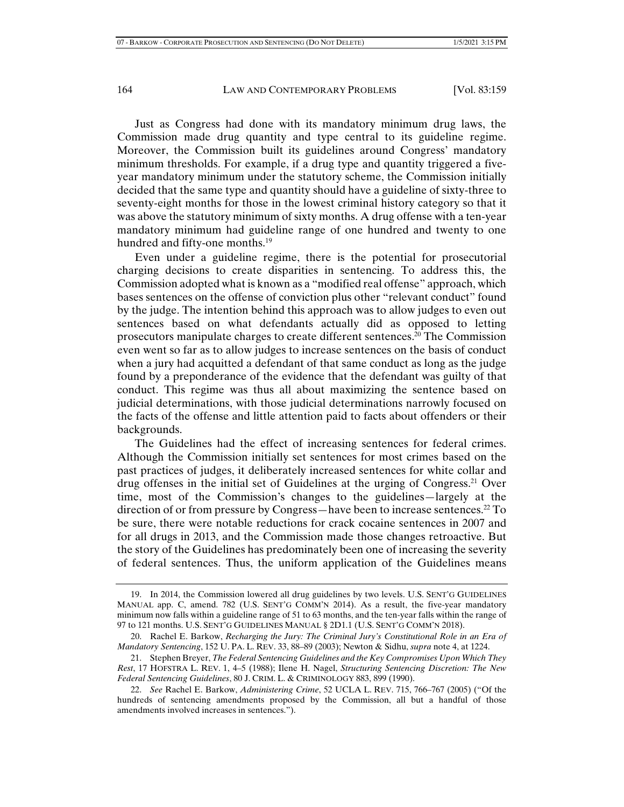Just as Congress had done with its mandatory minimum drug laws, the Commission made drug quantity and type central to its guideline regime. Moreover, the Commission built its guidelines around Congress' mandatory minimum thresholds. For example, if a drug type and quantity triggered a fiveyear mandatory minimum under the statutory scheme, the Commission initially decided that the same type and quantity should have a guideline of sixty-three to seventy-eight months for those in the lowest criminal history category so that it was above the statutory minimum of sixty months. A drug offense with a ten-year mandatory minimum had guideline range of one hundred and twenty to one hundred and fifty-one months.<sup>19</sup>

Even under a guideline regime, there is the potential for prosecutorial charging decisions to create disparities in sentencing. To address this, the Commission adopted what is known as a "modified real offense" approach, which bases sentences on the offense of conviction plus other "relevant conduct" found by the judge. The intention behind this approach was to allow judges to even out sentences based on what defendants actually did as opposed to letting prosecutors manipulate charges to create different sentences.20 The Commission even went so far as to allow judges to increase sentences on the basis of conduct when a jury had acquitted a defendant of that same conduct as long as the judge found by a preponderance of the evidence that the defendant was guilty of that conduct. This regime was thus all about maximizing the sentence based on judicial determinations, with those judicial determinations narrowly focused on the facts of the offense and little attention paid to facts about offenders or their backgrounds.

The Guidelines had the effect of increasing sentences for federal crimes. Although the Commission initially set sentences for most crimes based on the past practices of judges, it deliberately increased sentences for white collar and drug offenses in the initial set of Guidelines at the urging of Congress.<sup>21</sup> Over time, most of the Commission's changes to the guidelines—largely at the direction of or from pressure by Congress—have been to increase sentences.22 To be sure, there were notable reductions for crack cocaine sentences in 2007 and for all drugs in 2013, and the Commission made those changes retroactive. But the story of the Guidelines has predominately been one of increasing the severity of federal sentences. Thus, the uniform application of the Guidelines means

 <sup>19.</sup> In 2014, the Commission lowered all drug guidelines by two levels. U.S. SENT'G GUIDELINES MANUAL app. C, amend. 782 (U.S. SENT'G COMM'N 2014). As a result, the five-year mandatory minimum now falls within a guideline range of 51 to 63 months, and the ten-year falls within the range of 97 to 121 months. U.S. SENT'G GUIDELINES MANUAL § 2D1.1 (U.S. SENT'G COMM'N 2018).

 <sup>20.</sup> Rachel E. Barkow, *Recharging the Jury: The Criminal Jury's Constitutional Role in an Era of Mandatory Sentencing*, 152 U. PA. L. REV. 33, 88–89 (2003); Newton & Sidhu, *supra* note 4, at 1224.

 <sup>21.</sup> Stephen Breyer, *The Federal Sentencing Guidelines and the Key Compromises Upon Which They Rest*, 17 HOFSTRA L. REV. 1, 4–5 (1988); Ilene H. Nagel, *Structuring Sentencing Discretion: The New Federal Sentencing Guidelines*, 80 J. CRIM. L. & CRIMINOLOGY 883, 899 (1990).

 <sup>22.</sup> *See* Rachel E. Barkow, *Administering Crime*, 52 UCLA L. REV. 715, 766–767 (2005) ("Of the hundreds of sentencing amendments proposed by the Commission, all but a handful of those amendments involved increases in sentences.").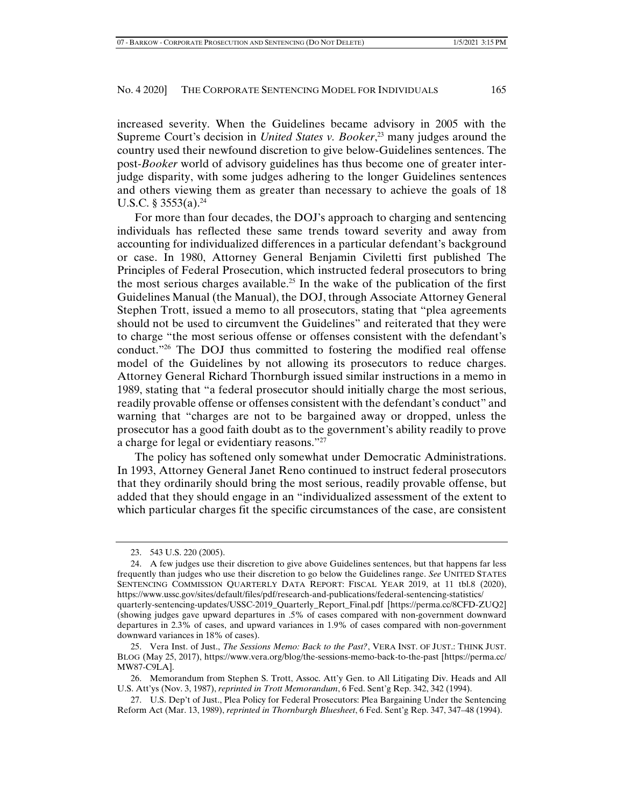increased severity. When the Guidelines became advisory in 2005 with the Supreme Court's decision in *United States v. Booker*, 23 many judges around the country used their newfound discretion to give below-Guidelines sentences. The post-*Booker* world of advisory guidelines has thus become one of greater interjudge disparity, with some judges adhering to the longer Guidelines sentences and others viewing them as greater than necessary to achieve the goals of 18 U.S.C. § 3553(a).<sup>24</sup>

For more than four decades, the DOJ's approach to charging and sentencing individuals has reflected these same trends toward severity and away from accounting for individualized differences in a particular defendant's background or case. In 1980, Attorney General Benjamin Civiletti first published The Principles of Federal Prosecution, which instructed federal prosecutors to bring the most serious charges available.<sup>25</sup> In the wake of the publication of the first Guidelines Manual (the Manual), the DOJ, through Associate Attorney General Stephen Trott, issued a memo to all prosecutors, stating that "plea agreements should not be used to circumvent the Guidelines" and reiterated that they were to charge "the most serious offense or offenses consistent with the defendant's conduct."<sup>26</sup> The DOJ thus committed to fostering the modified real offense model of the Guidelines by not allowing its prosecutors to reduce charges. Attorney General Richard Thornburgh issued similar instructions in a memo in 1989, stating that "a federal prosecutor should initially charge the most serious, readily provable offense or offenses consistent with the defendant's conduct" and warning that "charges are not to be bargained away or dropped, unless the prosecutor has a good faith doubt as to the government's ability readily to prove a charge for legal or evidentiary reasons."27

The policy has softened only somewhat under Democratic Administrations. In 1993, Attorney General Janet Reno continued to instruct federal prosecutors that they ordinarily should bring the most serious, readily provable offense, but added that they should engage in an "individualized assessment of the extent to which particular charges fit the specific circumstances of the case, are consistent

 <sup>23. 543</sup> U.S. 220 (2005).

 <sup>24.</sup> A few judges use their discretion to give above Guidelines sentences, but that happens far less frequently than judges who use their discretion to go below the Guidelines range. *See* UNITED STATES SENTENCING COMMISSION QUARTERLY DATA REPORT: FISCAL YEAR 2019, at 11 tbl.8 (2020), https://www.ussc.gov/sites/default/files/pdf/research-and-publications/federal-sentencing-statistics/ quarterly-sentencing-updates/USSC-2019\_Quarterly\_Report\_Final.pdf [https://perma.cc/8CFD-ZUQ2] (showing judges gave upward departures in .5% of cases compared with non-government downward departures in 2.3% of cases, and upward variances in 1.9% of cases compared with non-government downward variances in 18% of cases).

 <sup>25.</sup> Vera Inst. of Just., *The Sessions Memo: Back to the Past?*, VERA INST. OF JUST.: THINK JUST. BLOG (May 25, 2017), https://www.vera.org/blog/the-sessions-memo-back-to-the-past [https://perma.cc/ MW87-C9LA].

 <sup>26.</sup> Memorandum from Stephen S. Trott, Assoc. Att'y Gen. to All Litigating Div. Heads and All U.S. Att'ys (Nov. 3, 1987), *reprinted in Trott Memorandum*, 6 Fed. Sent'g Rep. 342, 342 (1994).

 <sup>27.</sup> U.S. Dep't of Just., Plea Policy for Federal Prosecutors: Plea Bargaining Under the Sentencing Reform Act (Mar. 13, 1989), *reprinted in Thornburgh Bluesheet*, 6 Fed. Sent'g Rep. 347, 347–48 (1994).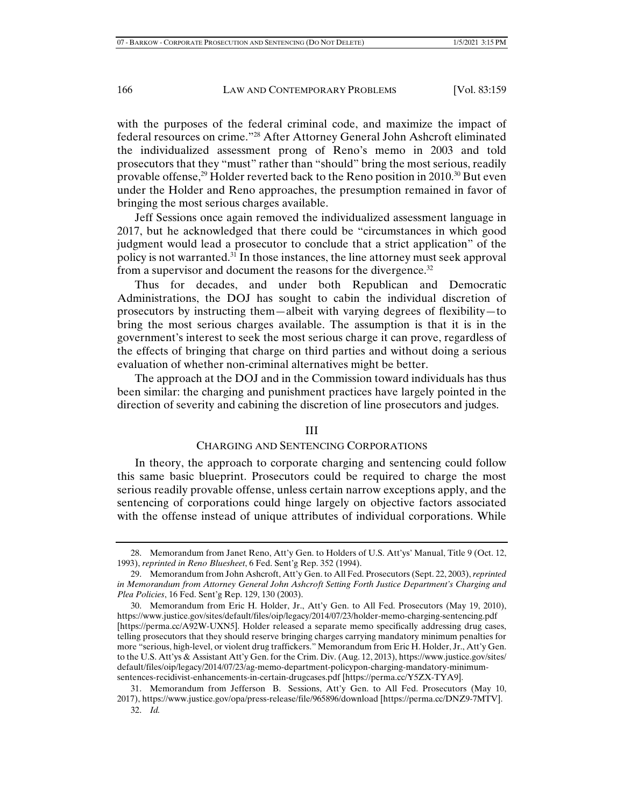with the purposes of the federal criminal code, and maximize the impact of federal resources on crime."28 After Attorney General John Ashcroft eliminated the individualized assessment prong of Reno's memo in 2003 and told prosecutors that they "must" rather than "should" bring the most serious, readily provable offense,<sup>29</sup> Holder reverted back to the Reno position in 2010.<sup>30</sup> But even under the Holder and Reno approaches, the presumption remained in favor of bringing the most serious charges available.

Jeff Sessions once again removed the individualized assessment language in 2017, but he acknowledged that there could be "circumstances in which good judgment would lead a prosecutor to conclude that a strict application" of the policy is not warranted.31 In those instances, the line attorney must seek approval from a supervisor and document the reasons for the divergence.<sup>32</sup>

Thus for decades, and under both Republican and Democratic Administrations, the DOJ has sought to cabin the individual discretion of prosecutors by instructing them—albeit with varying degrees of flexibility—to bring the most serious charges available. The assumption is that it is in the government's interest to seek the most serious charge it can prove, regardless of the effects of bringing that charge on third parties and without doing a serious evaluation of whether non-criminal alternatives might be better.

The approach at the DOJ and in the Commission toward individuals has thus been similar: the charging and punishment practices have largely pointed in the direction of severity and cabining the discretion of line prosecutors and judges.

#### III

#### CHARGING AND SENTENCING CORPORATIONS

In theory, the approach to corporate charging and sentencing could follow this same basic blueprint. Prosecutors could be required to charge the most serious readily provable offense, unless certain narrow exceptions apply, and the sentencing of corporations could hinge largely on objective factors associated with the offense instead of unique attributes of individual corporations. While

 <sup>28.</sup> Memorandum from Janet Reno, Att'y Gen. to Holders of U.S. Att'ys' Manual, Title 9 (Oct. 12, 1993), *reprinted in Reno Bluesheet*, 6 Fed. Sent'g Rep. 352 (1994).

 <sup>29.</sup> Memorandum from John Ashcroft, Att'y Gen. to All Fed. Prosecutors (Sept. 22, 2003), *reprinted in Memorandum from Attorney General John Ashcroft Setting Forth Justice Department's Charging and Plea Policies*, 16 Fed. Sent'g Rep. 129, 130 (2003).

 <sup>30.</sup> Memorandum from Eric H. Holder, Jr., Att'y Gen. to All Fed. Prosecutors (May 19, 2010), https://www.justice.gov/sites/default/files/oip/legacy/2014/07/23/holder-memo-charging-sentencing.pdf [https://perma.cc/A92W-UXN5]. Holder released a separate memo specifically addressing drug cases, telling prosecutors that they should reserve bringing charges carrying mandatory minimum penalties for more "serious, high-level, or violent drug traffickers." Memorandum from Eric H. Holder, Jr., Att'y Gen. to the U.S. Att'ys & Assistant Att'y Gen. for the Crim. Div. (Aug. 12, 2013), https://www.justice.gov/sites/ default/files/oip/legacy/2014/07/23/ag-memo-department-policypon-charging-mandatory-minimumsentences-recidivist-enhancements-in-certain-drugcases.pdf [https://perma.cc/Y5ZX-TYA9].

 <sup>31.</sup> Memorandum from Jefferson B. Sessions, Att'y Gen. to All Fed. Prosecutors (May 10, 2017), https://www.justice.gov/opa/press-release/file/965896/download [https://perma.cc/DNZ9-7MTV].

 <sup>32.</sup> *Id.*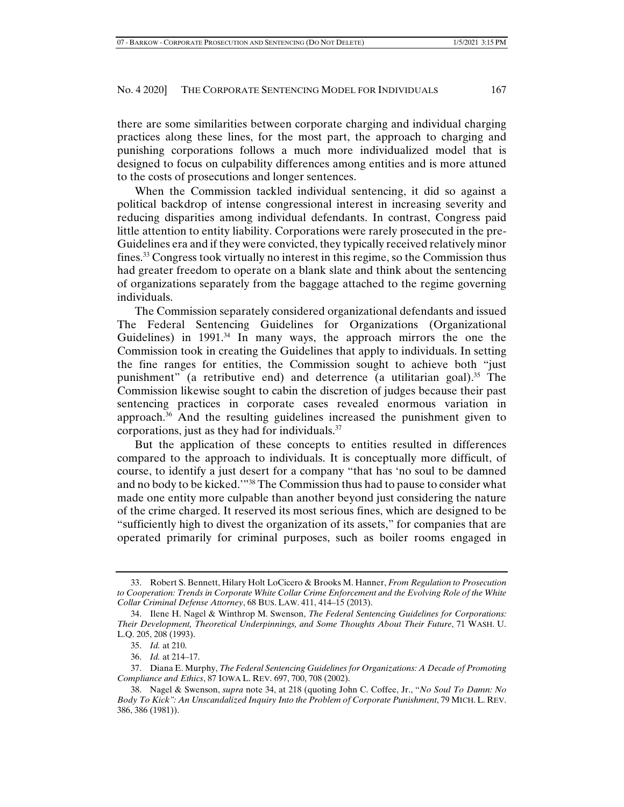there are some similarities between corporate charging and individual charging practices along these lines, for the most part, the approach to charging and punishing corporations follows a much more individualized model that is designed to focus on culpability differences among entities and is more attuned to the costs of prosecutions and longer sentences.

When the Commission tackled individual sentencing, it did so against a political backdrop of intense congressional interest in increasing severity and reducing disparities among individual defendants. In contrast, Congress paid little attention to entity liability. Corporations were rarely prosecuted in the pre-Guidelines era and if they were convicted, they typically received relatively minor fines.<sup>33</sup> Congress took virtually no interest in this regime, so the Commission thus had greater freedom to operate on a blank slate and think about the sentencing of organizations separately from the baggage attached to the regime governing individuals.

The Commission separately considered organizational defendants and issued The Federal Sentencing Guidelines for Organizations (Organizational Guidelines) in  $1991<sup>34</sup>$  In many ways, the approach mirrors the one the Commission took in creating the Guidelines that apply to individuals. In setting the fine ranges for entities, the Commission sought to achieve both "just punishment" (a retributive end) and deterrence (a utilitarian goal).<sup>35</sup> The Commission likewise sought to cabin the discretion of judges because their past sentencing practices in corporate cases revealed enormous variation in approach.36 And the resulting guidelines increased the punishment given to corporations, just as they had for individuals.37

But the application of these concepts to entities resulted in differences compared to the approach to individuals. It is conceptually more difficult, of course, to identify a just desert for a company "that has 'no soul to be damned and no body to be kicked.'"38 The Commission thus had to pause to consider what made one entity more culpable than another beyond just considering the nature of the crime charged. It reserved its most serious fines, which are designed to be "sufficiently high to divest the organization of its assets," for companies that are operated primarily for criminal purposes, such as boiler rooms engaged in

 <sup>33.</sup> Robert S. Bennett, Hilary Holt LoCicero & Brooks M. Hanner, *From Regulation to Prosecution to Cooperation: Trends in Corporate White Collar Crime Enforcement and the Evolving Role of the White Collar Criminal Defense Attorney*, 68 BUS. LAW. 411, 414–15 (2013).

 <sup>34.</sup> Ilene H. Nagel & Winthrop M. Swenson, *The Federal Sentencing Guidelines for Corporations: Their Development, Theoretical Underpinnings, and Some Thoughts About Their Future*, 71 WASH. U. L.Q. 205, 208 (1993).

 <sup>35.</sup> *Id.* at 210.

 <sup>36.</sup> *Id.* at 214–17.

 <sup>37.</sup> Diana E. Murphy, *The Federal Sentencing Guidelines for Organizations: A Decade of Promoting Compliance and Ethics*, 87 IOWA L. REV. 697, 700, 708 (2002).

 <sup>38.</sup> Nagel & Swenson, *supra* note 34, at 218 (quoting John C. Coffee, Jr., "*No Soul To Damn: No Body To Kick": An Unscandalized Inquiry Into the Problem of Corporate Punishment*, 79 MICH. L. REV. 386, 386 (1981)).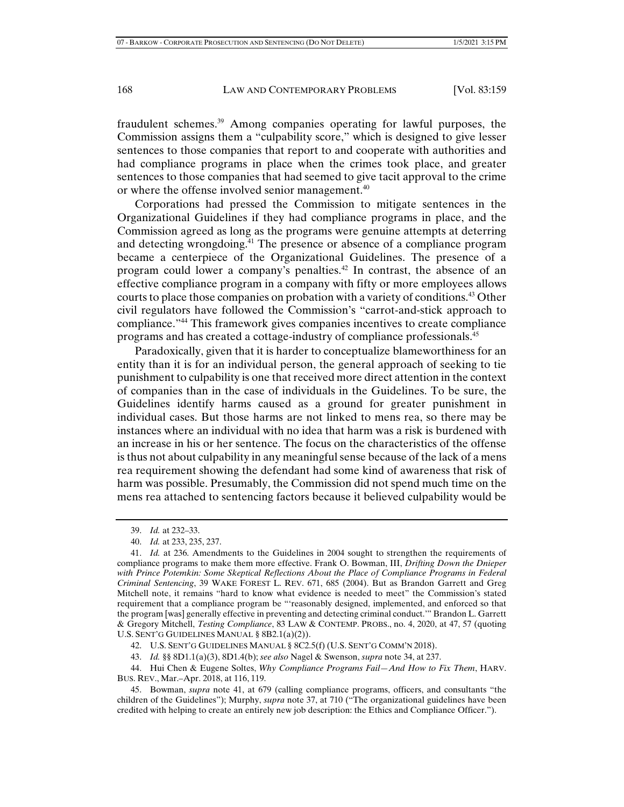fraudulent schemes.39 Among companies operating for lawful purposes, the Commission assigns them a "culpability score," which is designed to give lesser sentences to those companies that report to and cooperate with authorities and had compliance programs in place when the crimes took place, and greater sentences to those companies that had seemed to give tacit approval to the crime or where the offense involved senior management.<sup>40</sup>

Corporations had pressed the Commission to mitigate sentences in the Organizational Guidelines if they had compliance programs in place, and the Commission agreed as long as the programs were genuine attempts at deterring and detecting wrongdoing.<sup>41</sup> The presence or absence of a compliance program became a centerpiece of the Organizational Guidelines. The presence of a program could lower a company's penalties.<sup>42</sup> In contrast, the absence of an effective compliance program in a company with fifty or more employees allows courts to place those companies on probation with a variety of conditions.<sup>43</sup> Other civil regulators have followed the Commission's "carrot-and-stick approach to compliance."44 This framework gives companies incentives to create compliance programs and has created a cottage-industry of compliance professionals.45

Paradoxically, given that it is harder to conceptualize blameworthiness for an entity than it is for an individual person, the general approach of seeking to tie punishment to culpability is one that received more direct attention in the context of companies than in the case of individuals in the Guidelines. To be sure, the Guidelines identify harms caused as a ground for greater punishment in individual cases. But those harms are not linked to mens rea, so there may be instances where an individual with no idea that harm was a risk is burdened with an increase in his or her sentence. The focus on the characteristics of the offense is thus not about culpability in any meaningful sense because of the lack of a mens rea requirement showing the defendant had some kind of awareness that risk of harm was possible. Presumably, the Commission did not spend much time on the mens rea attached to sentencing factors because it believed culpability would be

42. U.S. SENT'G GUIDELINES MANUAL § 8C2.5(f) (U.S. SENT'G COMM'N 2018).

43. *Id.* §§ 8D1.1(a)(3), 8D1.4(b); *see also* Nagel & Swenson, *supra* note 34, at 237.

 45. Bowman, *supra* note 41, at 679 (calling compliance programs, officers, and consultants "the children of the Guidelines"); Murphy, *supra* note 37, at 710 ("The organizational guidelines have been credited with helping to create an entirely new job description: the Ethics and Compliance Officer.").

 <sup>39.</sup> *Id.* at 232–33.

 <sup>40.</sup> *Id.* at 233, 235, 237.

 <sup>41.</sup> *Id.* at 236. Amendments to the Guidelines in 2004 sought to strengthen the requirements of compliance programs to make them more effective. Frank O. Bowman, III, *Drifting Down the Dnieper*  with Prince Potemkin: Some Skeptical Reflections About the Place of Compliance Programs in Federal *Criminal Sentencing*, 39 WAKE FOREST L. REV. 671, 685 (2004). But as Brandon Garrett and Greg Mitchell note, it remains "hard to know what evidence is needed to meet" the Commission's stated requirement that a compliance program be "'reasonably designed, implemented, and enforced so that the program [was] generally effective in preventing and detecting criminal conduct.'" Brandon L. Garrett & Gregory Mitchell, *Testing Compliance*, 83 LAW & CONTEMP. PROBS., no. 4, 2020, at 47, 57 (quoting U.S. SENT'G GUIDELINES MANUAL § 8B2.1(a)(2)).

 <sup>44.</sup> Hui Chen & Eugene Soltes, *Why Compliance Programs Fail—And How to Fix Them*, HARV. BUS. REV., Mar.–Apr. 2018, at 116, 119.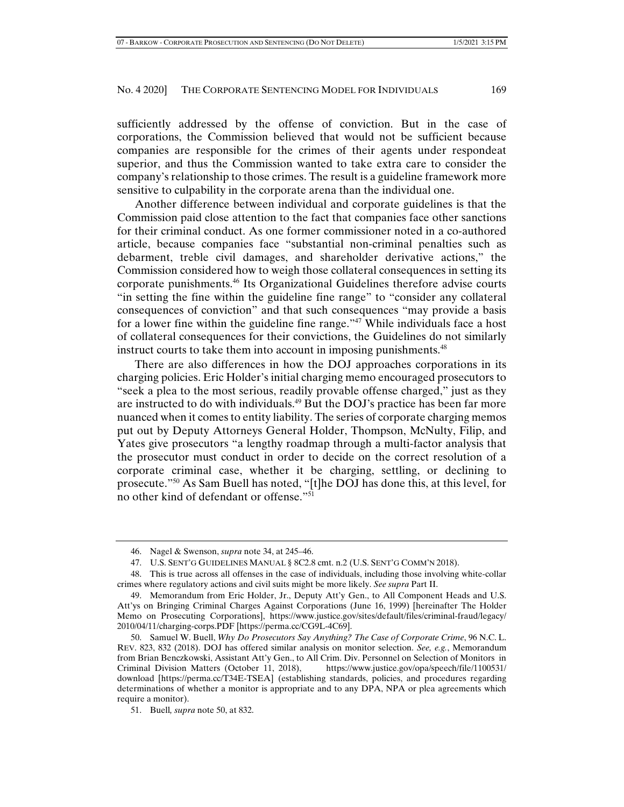sufficiently addressed by the offense of conviction. But in the case of corporations, the Commission believed that would not be sufficient because companies are responsible for the crimes of their agents under respondeat superior, and thus the Commission wanted to take extra care to consider the company's relationship to those crimes. The result is a guideline framework more sensitive to culpability in the corporate arena than the individual one.

Another difference between individual and corporate guidelines is that the Commission paid close attention to the fact that companies face other sanctions for their criminal conduct. As one former commissioner noted in a co-authored article, because companies face "substantial non-criminal penalties such as debarment, treble civil damages, and shareholder derivative actions," the Commission considered how to weigh those collateral consequences in setting its corporate punishments.46 Its Organizational Guidelines therefore advise courts "in setting the fine within the guideline fine range" to "consider any collateral consequences of conviction" and that such consequences "may provide a basis for a lower fine within the guideline fine range."<sup>47</sup> While individuals face a host of collateral consequences for their convictions, the Guidelines do not similarly instruct courts to take them into account in imposing punishments.<sup>48</sup>

There are also differences in how the DOJ approaches corporations in its charging policies. Eric Holder's initial charging memo encouraged prosecutors to "seek a plea to the most serious, readily provable offense charged," just as they are instructed to do with individuals.<sup>49</sup> But the DOJ's practice has been far more nuanced when it comes to entity liability. The series of corporate charging memos put out by Deputy Attorneys General Holder, Thompson, McNulty, Filip, and Yates give prosecutors "a lengthy roadmap through a multi-factor analysis that the prosecutor must conduct in order to decide on the correct resolution of a corporate criminal case, whether it be charging, settling, or declining to prosecute."50 As Sam Buell has noted, "[t]he DOJ has done this, at this level, for no other kind of defendant or offense."<sup>51</sup>

 <sup>46.</sup> Nagel & Swenson, *supra* note 34, at 245–46.

 <sup>47.</sup> U.S. SENT'G GUIDELINES MANUAL § 8C2.8 cmt. n.2 (U.S. SENT'G COMM'N 2018).

 <sup>48.</sup> This is true across all offenses in the case of individuals, including those involving white-collar crimes where regulatory actions and civil suits might be more likely. *See supra* Part II.

 <sup>49.</sup> Memorandum from Eric Holder, Jr., Deputy Att'y Gen., to All Component Heads and U.S. Att'ys on Bringing Criminal Charges Against Corporations (June 16, 1999) [hereinafter The Holder Memo on Prosecuting Corporations], https://www.justice.gov/sites/default/files/criminal-fraud/legacy/ 2010/04/11/charging-corps.PDF [https://perma.cc/CG9L-4C69].

 <sup>50.</sup> Samuel W. Buell, *Why Do Prosecutors Say Anything? The Case of Corporate Crime*, 96 N.C. L. REV. 823, 832 (2018). DOJ has offered similar analysis on monitor selection. *See, e.g.*, Memorandum from Brian Benczkowski, Assistant Att'y Gen., to All Crim. Div. Personnel on Selection of Monitors in Criminal Division Matters (October 11, 2018), https://www.justice.gov/opa/speech/file/1100531/ download [https://perma.cc/T34E-TSEA] (establishing standards, policies, and procedures regarding determinations of whether a monitor is appropriate and to any DPA, NPA or plea agreements which require a monitor).

 <sup>51.</sup> Buell*, supra* note 50, at 832.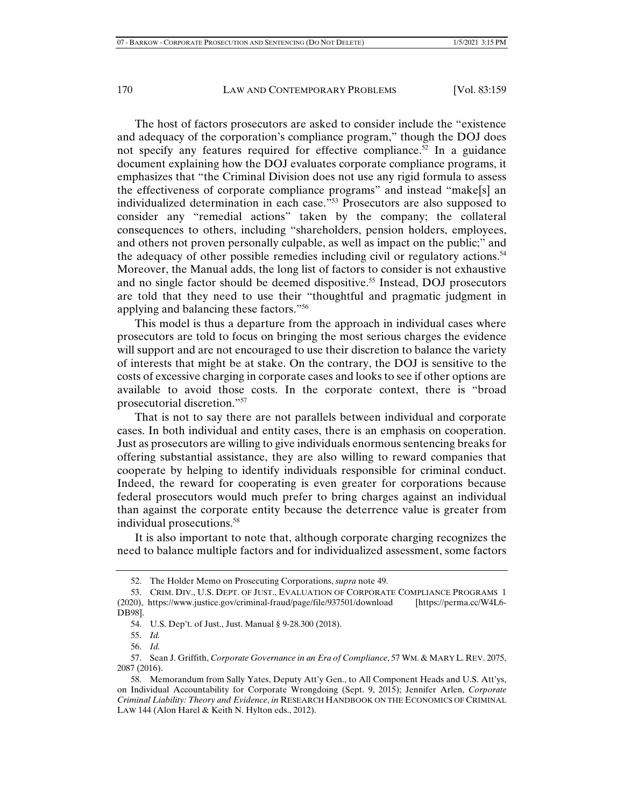The host of factors prosecutors are asked to consider include the "existence and adequacy of the corporation's compliance program," though the DOJ does not specify any features required for effective compliance.<sup>52</sup> In a guidance document explaining how the DOJ evaluates corporate compliance programs, it emphasizes that "the Criminal Division does not use any rigid formula to assess the effectiveness of corporate compliance programs" and instead "make[s] an individualized determination in each case."53 Prosecutors are also supposed to consider any "remedial actions" taken by the company; the collateral consequences to others, including "shareholders, pension holders, employees, and others not proven personally culpable, as well as impact on the public;" and the adequacy of other possible remedies including civil or regulatory actions.<sup>54</sup> Moreover, the Manual adds, the long list of factors to consider is not exhaustive and no single factor should be deemed dispositive.<sup>55</sup> Instead, DOJ prosecutors are told that they need to use their "thoughtful and pragmatic judgment in applying and balancing these factors."56

This model is thus a departure from the approach in individual cases where prosecutors are told to focus on bringing the most serious charges the evidence will support and are not encouraged to use their discretion to balance the variety of interests that might be at stake. On the contrary, the DOJ is sensitive to the costs of excessive charging in corporate cases and looks to see if other options are available to avoid those costs. In the corporate context, there is "broad prosecutorial discretion."57

That is not to say there are not parallels between individual and corporate cases. In both individual and entity cases, there is an emphasis on cooperation. Just as prosecutors are willing to give individuals enormous sentencing breaks for offering substantial assistance, they are also willing to reward companies that cooperate by helping to identify individuals responsible for criminal conduct. Indeed, the reward for cooperating is even greater for corporations because federal prosecutors would much prefer to bring charges against an individual than against the corporate entity because the deterrence value is greater from individual prosecutions.<sup>58</sup>

It is also important to note that, although corporate charging recognizes the need to balance multiple factors and for individualized assessment, some factors

 <sup>52.</sup> The Holder Memo on Prosecuting Corporations, *supra* note 49.

 <sup>53.</sup> CRIM. DIV., U.S. DEPT. OF JUST., EVALUATION OF CORPORATE COMPLIANCE PROGRAMS 1 (2020), https://www.justice.gov/criminal-fraud/page/file/937501/download [https://perma.cc/W4L6- DB98].

 <sup>54.</sup> U.S. Dep't. of Just., Just. Manual § 9-28.300 (2018).

 <sup>55.</sup> *Id.*

 <sup>56.</sup> *Id.*

 <sup>57.</sup> Sean J. Griffith, *Corporate Governance in an Era of Compliance*, 57 WM. & MARY L. REV. 2075, 2087 (2016).

 <sup>58.</sup> Memorandum from Sally Yates, Deputy Att'y Gen., to All Component Heads and U.S. Att'ys, on Individual Accountability for Corporate Wrongdoing (Sept. 9, 2015); Jennifer Arlen, *Corporate Criminal Liability: Theory and Evidence*, *in* RESEARCH HANDBOOK ON THE ECONOMICS OF CRIMINAL LAW 144 (Alon Harel & Keith N. Hylton eds., 2012).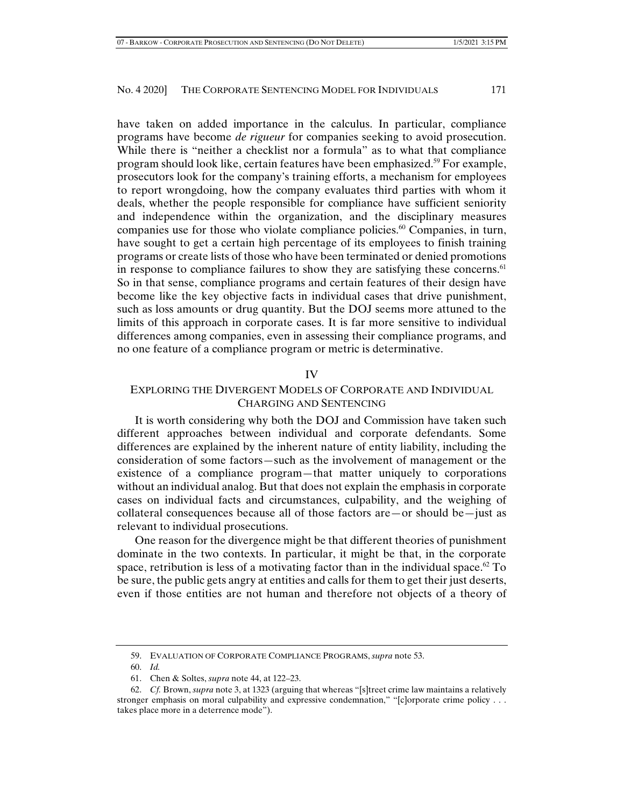have taken on added importance in the calculus. In particular, compliance programs have become *de rigueur* for companies seeking to avoid prosecution. While there is "neither a checklist nor a formula" as to what that compliance program should look like, certain features have been emphasized.<sup>59</sup> For example, prosecutors look for the company's training efforts, a mechanism for employees to report wrongdoing, how the company evaluates third parties with whom it deals, whether the people responsible for compliance have sufficient seniority and independence within the organization, and the disciplinary measures companies use for those who violate compliance policies. $60$  Companies, in turn, have sought to get a certain high percentage of its employees to finish training programs or create lists of those who have been terminated or denied promotions in response to compliance failures to show they are satisfying these concerns.<sup> $61$ </sup> So in that sense, compliance programs and certain features of their design have become like the key objective facts in individual cases that drive punishment, such as loss amounts or drug quantity. But the DOJ seems more attuned to the limits of this approach in corporate cases. It is far more sensitive to individual differences among companies, even in assessing their compliance programs, and no one feature of a compliance program or metric is determinative.

## IV

## EXPLORING THE DIVERGENT MODELS OF CORPORATE AND INDIVIDUAL CHARGING AND SENTENCING

It is worth considering why both the DOJ and Commission have taken such different approaches between individual and corporate defendants. Some differences are explained by the inherent nature of entity liability, including the consideration of some factors—such as the involvement of management or the existence of a compliance program—that matter uniquely to corporations without an individual analog. But that does not explain the emphasis in corporate cases on individual facts and circumstances, culpability, and the weighing of collateral consequences because all of those factors are—or should be—just as relevant to individual prosecutions.

One reason for the divergence might be that different theories of punishment dominate in the two contexts. In particular, it might be that, in the corporate space, retribution is less of a motivating factor than in the individual space.<sup>62</sup> To be sure, the public gets angry at entities and calls for them to get their just deserts, even if those entities are not human and therefore not objects of a theory of

 <sup>59.</sup> EVALUATION OF CORPORATE COMPLIANCE PROGRAMS, *supra* note 53.

 <sup>60.</sup> *Id.*

 <sup>61.</sup> Chen & Soltes, *supra* note 44, at 122–23.

 <sup>62.</sup> *Cf.* Brown, *supra* note 3, at 1323 (arguing that whereas "[s]treet crime law maintains a relatively stronger emphasis on moral culpability and expressive condemnation," "[c]orporate crime policy . . . takes place more in a deterrence mode").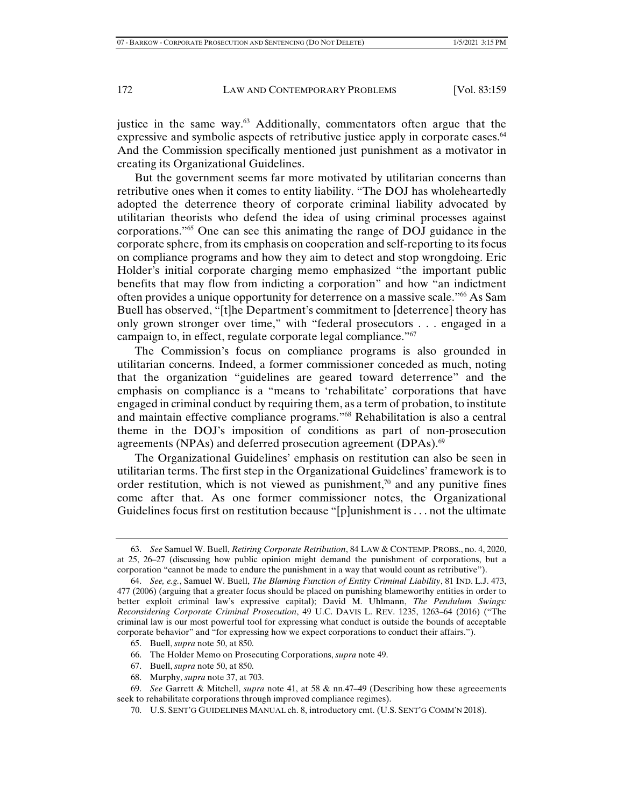justice in the same way. $63$  Additionally, commentators often argue that the expressive and symbolic aspects of retributive justice apply in corporate cases.<sup>64</sup> And the Commission specifically mentioned just punishment as a motivator in creating its Organizational Guidelines.

But the government seems far more motivated by utilitarian concerns than retributive ones when it comes to entity liability. "The DOJ has wholeheartedly adopted the deterrence theory of corporate criminal liability advocated by utilitarian theorists who defend the idea of using criminal processes against corporations."<sup>65</sup> One can see this animating the range of DOJ guidance in the corporate sphere, from its emphasis on cooperation and self-reporting to its focus on compliance programs and how they aim to detect and stop wrongdoing. Eric Holder's initial corporate charging memo emphasized "the important public benefits that may flow from indicting a corporation" and how "an indictment often provides a unique opportunity for deterrence on a massive scale."<sup>66</sup> As Sam Buell has observed, "[t]he Department's commitment to [deterrence] theory has only grown stronger over time," with "federal prosecutors . . . engaged in a campaign to, in effect, regulate corporate legal compliance."67

The Commission's focus on compliance programs is also grounded in utilitarian concerns. Indeed, a former commissioner conceded as much, noting that the organization "guidelines are geared toward deterrence" and the emphasis on compliance is a "means to 'rehabilitate' corporations that have engaged in criminal conduct by requiring them, as a term of probation, to institute and maintain effective compliance programs."68 Rehabilitation is also a central theme in the DOJ's imposition of conditions as part of non-prosecution agreements (NPAs) and deferred prosecution agreement (DPAs).<sup>69</sup>

The Organizational Guidelines' emphasis on restitution can also be seen in utilitarian terms. The first step in the Organizational Guidelines' framework is to order restitution, which is not viewed as punishment,<sup>70</sup> and any punitive fines come after that. As one former commissioner notes, the Organizational Guidelines focus first on restitution because "[p]unishment is . . . not the ultimate

- 65. Buell, *supra* note 50, at 850.
- 66. The Holder Memo on Prosecuting Corporations, *supra* note 49.
- 67. Buell, *supra* note 50, at 850.
- 68. Murphy, *supra* note 37, at 703.

 <sup>63.</sup> *See* Samuel W. Buell, *Retiring Corporate Retribution*, 84 LAW & CONTEMP. PROBS., no. 4, 2020, at 25, 26–27 (discussing how public opinion might demand the punishment of corporations, but a corporation "cannot be made to endure the punishment in a way that would count as retributive").

 <sup>64.</sup> *See, e.g.*, Samuel W. Buell, *The Blaming Function of Entity Criminal Liability*, 81 IND. L.J. 473, 477 (2006) (arguing that a greater focus should be placed on punishing blameworthy entities in order to better exploit criminal law's expressive capital); David M. Uhlmann, *The Pendulum Swings: Reconsidering Corporate Criminal Prosecution*, 49 U.C. DAVIS L. REV. 1235, 1263–64 (2016) ("The criminal law is our most powerful tool for expressing what conduct is outside the bounds of acceptable corporate behavior" and "for expressing how we expect corporations to conduct their affairs.").

 <sup>69.</sup> *See* Garrett & Mitchell, *supra* note 41, at 58 & nn.47–49 (Describing how these agreeements seek to rehabilitate corporations through improved compliance regimes).

 <sup>70.</sup> U.S. SENT'G GUIDELINES MANUAL ch. 8, introductory cmt. (U.S. SENT'G COMM'N 2018).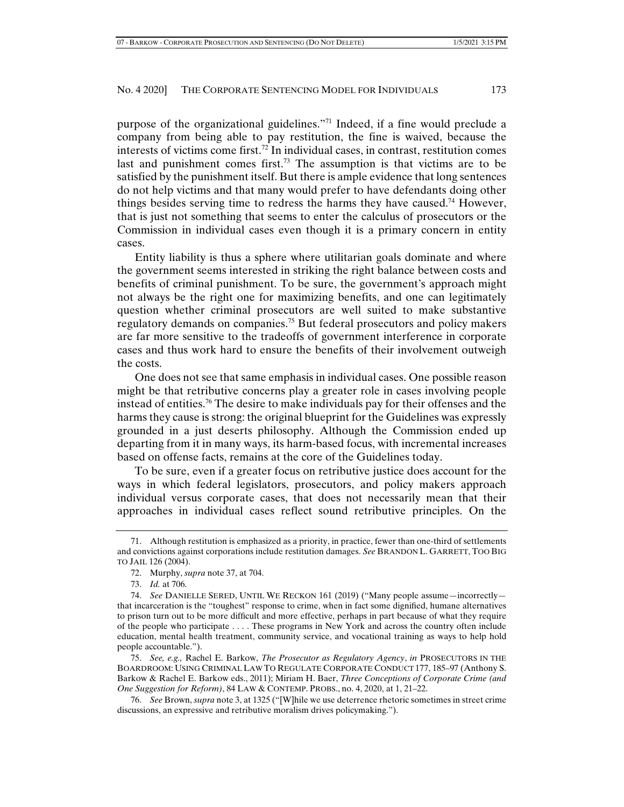purpose of the organizational guidelines."71 Indeed, if a fine would preclude a company from being able to pay restitution, the fine is waived, because the interests of victims come first.<sup>72</sup> In individual cases, in contrast, restitution comes last and punishment comes first.<sup>73</sup> The assumption is that victims are to be satisfied by the punishment itself. But there is ample evidence that long sentences do not help victims and that many would prefer to have defendants doing other things besides serving time to redress the harms they have caused.<sup>74</sup> However, that is just not something that seems to enter the calculus of prosecutors or the Commission in individual cases even though it is a primary concern in entity cases.

Entity liability is thus a sphere where utilitarian goals dominate and where the government seems interested in striking the right balance between costs and benefits of criminal punishment. To be sure, the government's approach might not always be the right one for maximizing benefits, and one can legitimately question whether criminal prosecutors are well suited to make substantive regulatory demands on companies.75 But federal prosecutors and policy makers are far more sensitive to the tradeoffs of government interference in corporate cases and thus work hard to ensure the benefits of their involvement outweigh the costs.

One does not see that same emphasis in individual cases. One possible reason might be that retributive concerns play a greater role in cases involving people instead of entities.76 The desire to make individuals pay for their offenses and the harms they cause is strong: the original blueprint for the Guidelines was expressly grounded in a just deserts philosophy. Although the Commission ended up departing from it in many ways, its harm-based focus, with incremental increases based on offense facts, remains at the core of the Guidelines today.

To be sure, even if a greater focus on retributive justice does account for the ways in which federal legislators, prosecutors, and policy makers approach individual versus corporate cases, that does not necessarily mean that their approaches in individual cases reflect sound retributive principles. On the

 <sup>71.</sup> Although restitution is emphasized as a priority, in practice, fewer than one-third of settlements and convictions against corporations include restitution damages. *See* BRANDON L. GARRETT, TOO BIG TO JAIL 126 (2004).

 <sup>72.</sup> Murphy, *supra* note 37, at 704.

 <sup>73.</sup> *Id.* at 706.

 <sup>74.</sup> *See* DANIELLE SERED, UNTIL WE RECKON 161 (2019) ("Many people assume—incorrectly that incarceration is the "toughest" response to crime, when in fact some dignified, humane alternatives to prison turn out to be more difficult and more effective, perhaps in part because of what they require of the people who participate . . . . These programs in New York and across the country often include education, mental health treatment, community service, and vocational training as ways to help hold people accountable.").

 <sup>75.</sup> *See, e.g.,* Rachel E. Barkow, *The Prosecutor as Regulatory Agency*, *in* PROSECUTORS IN THE BOARDROOM: USING CRIMINAL LAW TO REGULATE CORPORATE CONDUCT 177, 185–97 (Anthony S. Barkow & Rachel E. Barkow eds., 2011); Miriam H. Baer, *Three Conceptions of Corporate Crime (and One Suggestion for Reform)*, 84 LAW & CONTEMP. PROBS., no. 4, 2020, at 1, 21–22.

 <sup>76.</sup> *See* Brown, *supra* note 3, at 1325 ("[W]hile we use deterrence rhetoric sometimes in street crime discussions, an expressive and retributive moralism drives policymaking.").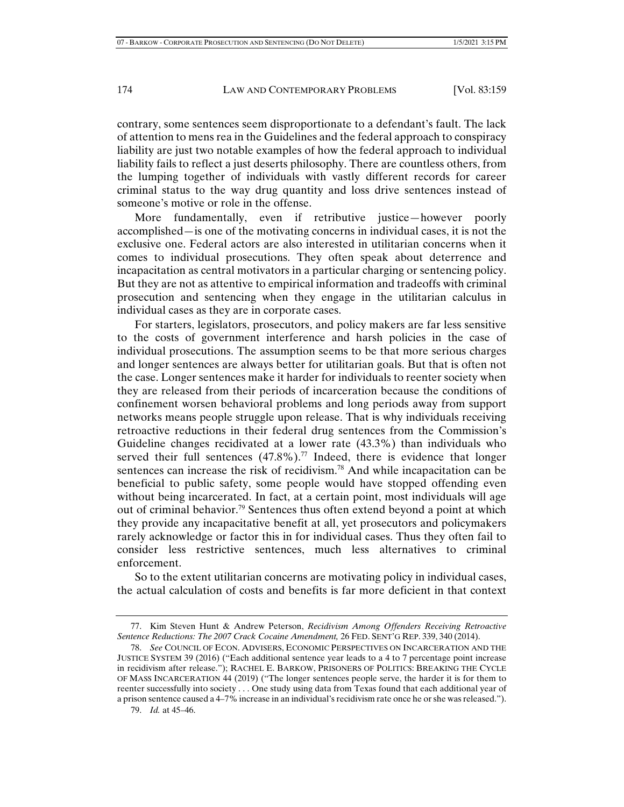contrary, some sentences seem disproportionate to a defendant's fault. The lack of attention to mens rea in the Guidelines and the federal approach to conspiracy liability are just two notable examples of how the federal approach to individual liability fails to reflect a just deserts philosophy. There are countless others, from the lumping together of individuals with vastly different records for career criminal status to the way drug quantity and loss drive sentences instead of someone's motive or role in the offense.

More fundamentally, even if retributive justice—however poorly accomplished—is one of the motivating concerns in individual cases, it is not the exclusive one. Federal actors are also interested in utilitarian concerns when it comes to individual prosecutions. They often speak about deterrence and incapacitation as central motivators in a particular charging or sentencing policy. But they are not as attentive to empirical information and tradeoffs with criminal prosecution and sentencing when they engage in the utilitarian calculus in individual cases as they are in corporate cases.

For starters, legislators, prosecutors, and policy makers are far less sensitive to the costs of government interference and harsh policies in the case of individual prosecutions. The assumption seems to be that more serious charges and longer sentences are always better for utilitarian goals. But that is often not the case. Longer sentences make it harder for individuals to reenter society when they are released from their periods of incarceration because the conditions of confinement worsen behavioral problems and long periods away from support networks means people struggle upon release. That is why individuals receiving retroactive reductions in their federal drug sentences from the Commission's Guideline changes recidivated at a lower rate (43.3%) than individuals who served their full sentences  $(47.8\%)$ .<sup>77</sup> Indeed, there is evidence that longer sentences can increase the risk of recidivism.<sup>78</sup> And while incapacitation can be beneficial to public safety, some people would have stopped offending even without being incarcerated. In fact, at a certain point, most individuals will age out of criminal behavior.<sup>79</sup> Sentences thus often extend beyond a point at which they provide any incapacitative benefit at all, yet prosecutors and policymakers rarely acknowledge or factor this in for individual cases. Thus they often fail to consider less restrictive sentences, much less alternatives to criminal enforcement.

So to the extent utilitarian concerns are motivating policy in individual cases, the actual calculation of costs and benefits is far more deficient in that context

 <sup>77.</sup> Kim Steven Hunt & Andrew Peterson, *Recidivism Among Offenders Receiving Retroactive Sentence Reductions: The 2007 Crack Cocaine Amendment,* 26 FED. SENT'G REP. 339, 340 (2014).

 <sup>78.</sup> *See* COUNCIL OF ECON. ADVISERS, ECONOMIC PERSPECTIVES ON INCARCERATION AND THE JUSTICE SYSTEM 39 (2016) ("Each additional sentence year leads to a 4 to 7 percentage point increase in recidivism after release."); RACHEL E. BARKOW, PRISONERS OF POLITICS: BREAKING THE CYCLE OF MASS INCARCERATION 44 (2019) ("The longer sentences people serve, the harder it is for them to reenter successfully into society . . . One study using data from Texas found that each additional year of a prison sentence caused a 4–7% increase in an individual's recidivism rate once he or she was released.").

 <sup>79.</sup> *Id.* at 45–46.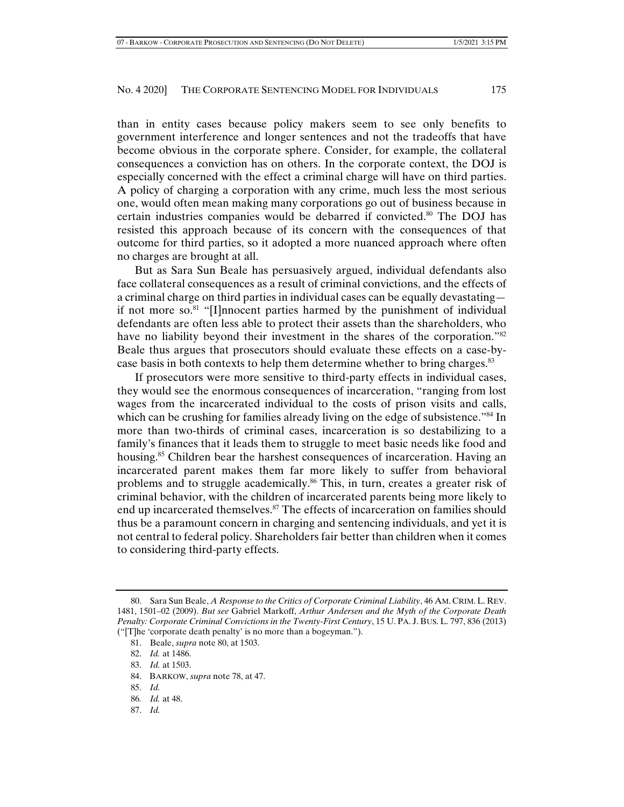than in entity cases because policy makers seem to see only benefits to government interference and longer sentences and not the tradeoffs that have become obvious in the corporate sphere. Consider, for example, the collateral consequences a conviction has on others. In the corporate context, the DOJ is especially concerned with the effect a criminal charge will have on third parties. A policy of charging a corporation with any crime, much less the most serious one, would often mean making many corporations go out of business because in certain industries companies would be debarred if convicted.<sup>80</sup> The DOJ has resisted this approach because of its concern with the consequences of that outcome for third parties, so it adopted a more nuanced approach where often no charges are brought at all.

But as Sara Sun Beale has persuasively argued, individual defendants also face collateral consequences as a result of criminal convictions, and the effects of a criminal charge on third parties in individual cases can be equally devastating if not more so.<sup>81</sup> "[I]nnocent parties harmed by the punishment of individual defendants are often less able to protect their assets than the shareholders, who have no liability beyond their investment in the shares of the corporation.<sup>882</sup> Beale thus argues that prosecutors should evaluate these effects on a case-bycase basis in both contexts to help them determine whether to bring charges.<sup>83</sup>

If prosecutors were more sensitive to third-party effects in individual cases, they would see the enormous consequences of incarceration, "ranging from lost wages from the incarcerated individual to the costs of prison visits and calls, which can be crushing for families already living on the edge of subsistence."<sup>84</sup> In more than two-thirds of criminal cases, incarceration is so destabilizing to a family's finances that it leads them to struggle to meet basic needs like food and housing.<sup>85</sup> Children bear the harshest consequences of incarceration. Having an incarcerated parent makes them far more likely to suffer from behavioral problems and to struggle academically.<sup>86</sup> This, in turn, creates a greater risk of criminal behavior, with the children of incarcerated parents being more likely to end up incarcerated themselves.<sup>87</sup> The effects of incarceration on families should thus be a paramount concern in charging and sentencing individuals, and yet it is not central to federal policy. Shareholders fair better than children when it comes to considering third-party effects.

- 84. BARKOW, *supra* note 78, at 47.
- 85. *Id.*
- 86*. Id.* at 48.
- 87. *Id.*

 <sup>80.</sup> Sara Sun Beale, *A Response to the Critics of Corporate Criminal Liability*, 46 AM. CRIM. L. REV. 1481, 1501–02 (2009). *But see* Gabriel Markoff, *Arthur Andersen and the Myth of the Corporate Death Penalty: Corporate Criminal Convictions in the Twenty-First Century*, 15 U. PA. J. BUS. L. 797, 836 (2013) ("[T]he 'corporate death penalty' is no more than a bogeyman.").

 <sup>81.</sup> Beale, *supra* note 80, at 1503.

 <sup>82.</sup> *Id.* at 1486.

 <sup>83.</sup> *Id.* at 1503.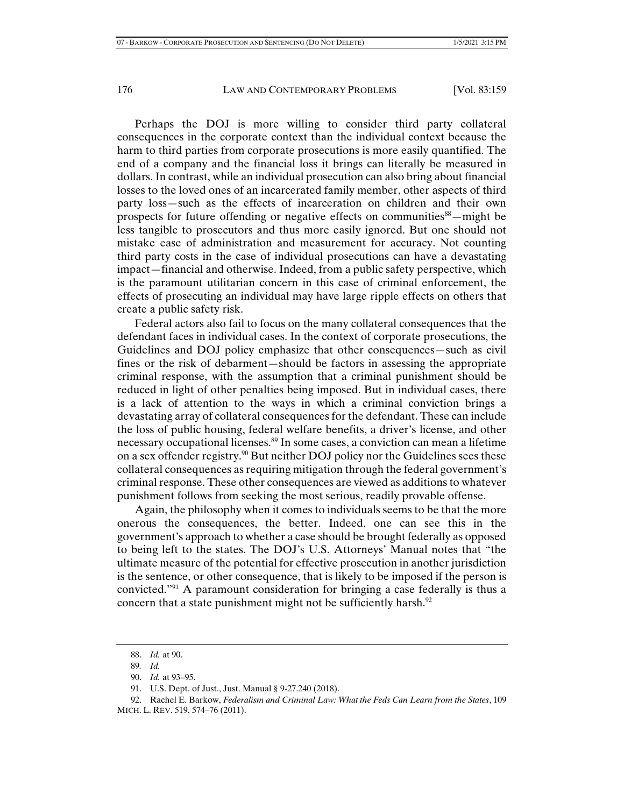Perhaps the DOJ is more willing to consider third party collateral consequences in the corporate context than the individual context because the harm to third parties from corporate prosecutions is more easily quantified. The end of a company and the financial loss it brings can literally be measured in dollars. In contrast, while an individual prosecution can also bring about financial losses to the loved ones of an incarcerated family member, other aspects of third party loss—such as the effects of incarceration on children and their own prospects for future offending or negative effects on communities<sup>88</sup>—might be less tangible to prosecutors and thus more easily ignored. But one should not mistake ease of administration and measurement for accuracy. Not counting third party costs in the case of individual prosecutions can have a devastating impact—financial and otherwise. Indeed, from a public safety perspective, which is the paramount utilitarian concern in this case of criminal enforcement, the effects of prosecuting an individual may have large ripple effects on others that create a public safety risk.

Federal actors also fail to focus on the many collateral consequences that the defendant faces in individual cases. In the context of corporate prosecutions, the Guidelines and DOJ policy emphasize that other consequences—such as civil fines or the risk of debarment—should be factors in assessing the appropriate criminal response, with the assumption that a criminal punishment should be reduced in light of other penalties being imposed. But in individual cases, there is a lack of attention to the ways in which a criminal conviction brings a devastating array of collateral consequences for the defendant. These can include the loss of public housing, federal welfare benefits, a driver's license, and other necessary occupational licenses.<sup>89</sup> In some cases, a conviction can mean a lifetime on a sex offender registry.<sup>90</sup> But neither DOJ policy nor the Guidelines sees these collateral consequences as requiring mitigation through the federal government's criminal response. These other consequences are viewed as additions to whatever punishment follows from seeking the most serious, readily provable offense.

Again, the philosophy when it comes to individuals seems to be that the more onerous the consequences, the better. Indeed, one can see this in the government's approach to whether a case should be brought federally as opposed to being left to the states. The DOJ's U.S. Attorneys' Manual notes that "the ultimate measure of the potential for effective prosecution in another jurisdiction is the sentence, or other consequence, that is likely to be imposed if the person is convicted."91 A paramount consideration for bringing a case federally is thus a concern that a state punishment might not be sufficiently harsh.<sup>92</sup>

 <sup>88.</sup> *Id.* at 90.

<sup>89</sup>*. Id.*

 <sup>90.</sup> *Id.* at 93–95.

 <sup>91.</sup> U.S. Dept. of Just., Just. Manual § 9-27.240 (2018).

 <sup>92.</sup> Rachel E. Barkow, *Federalism and Criminal Law: What the Feds Can Learn from the States*, 109 MICH. L. REV. 519, 574–76 (2011).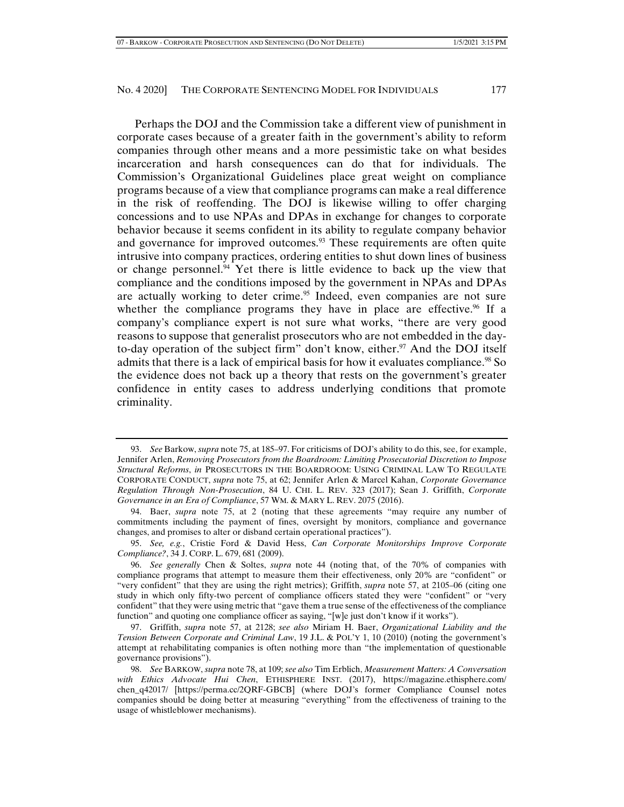Perhaps the DOJ and the Commission take a different view of punishment in corporate cases because of a greater faith in the government's ability to reform companies through other means and a more pessimistic take on what besides incarceration and harsh consequences can do that for individuals. The Commission's Organizational Guidelines place great weight on compliance programs because of a view that compliance programs can make a real difference in the risk of reoffending. The DOJ is likewise willing to offer charging concessions and to use NPAs and DPAs in exchange for changes to corporate behavior because it seems confident in its ability to regulate company behavior and governance for improved outcomes.<sup>93</sup> These requirements are often quite intrusive into company practices, ordering entities to shut down lines of business or change personnel. $94$  Yet there is little evidence to back up the view that compliance and the conditions imposed by the government in NPAs and DPAs are actually working to deter crime.<sup>95</sup> Indeed, even companies are not sure whether the compliance programs they have in place are effective.<sup>96</sup> If a company's compliance expert is not sure what works, "there are very good reasons to suppose that generalist prosecutors who are not embedded in the dayto-day operation of the subject firm" don't know, either.<sup>97</sup> And the DOJ itself admits that there is a lack of empirical basis for how it evaluates compliance.<sup>98</sup> So the evidence does not back up a theory that rests on the government's greater confidence in entity cases to address underlying conditions that promote criminality.

 <sup>93.</sup> *See* Barkow, *supra* note 75, at 185–97. For criticisms of DOJ's ability to do this, see, for example, Jennifer Arlen, *Removing Prosecutors from the Boardroom: Limiting Prosecutorial Discretion to Impose Structural Reforms*, *in* PROSECUTORS IN THE BOARDROOM: USING CRIMINAL LAW TO REGULATE CORPORATE CONDUCT, *supra* note 75, at 62; Jennifer Arlen & Marcel Kahan, *Corporate Governance Regulation Through Non-Prosecution*, 84 U. CHI. L. REV. 323 (2017); Sean J. Griffith, *Corporate Governance in an Era of Compliance*, 57 WM. & MARY L. REV. 2075 (2016).

 <sup>94.</sup> Baer, *supra* note 75, at 2 (noting that these agreements "may require any number of commitments including the payment of fines, oversight by monitors, compliance and governance changes, and promises to alter or disband certain operational practices").

 <sup>95.</sup> *See, e.g.*, Cristie Ford & David Hess, *Can Corporate Monitorships Improve Corporate Compliance?*, 34 J. CORP. L. 679, 681 (2009).

 <sup>96.</sup> *See generally* Chen & Soltes, *supra* note 44 (noting that, of the 70% of companies with compliance programs that attempt to measure them their effectiveness, only 20% are "confident" or "very confident" that they are using the right metrics); Griffith, *supra* note 57, at 2105–06 (citing one study in which only fifty-two percent of compliance officers stated they were "confident" or "very confident" that they were using metric that "gave them a true sense of the effectiveness of the compliance function" and quoting one compliance officer as saying, "[w]e just don't know if it works").

 <sup>97.</sup> Griffith, *supra* note 57, at 2128; *see also* Miriam H. Baer, *Organizational Liability and the Tension Between Corporate and Criminal Law*, 19 J.L. & POL'Y 1, 10 (2010) (noting the government's attempt at rehabilitating companies is often nothing more than "the implementation of questionable governance provisions").

 <sup>98.</sup> *See* BARKOW, *supra* note 78, at 109; *see also* Tim Erblich, *Measurement Matters: A Conversation with Ethics Advocate Hui Chen*, ETHISPHERE INST. (2017), https://magazine.ethisphere.com/ chen q42017/ [https://perma.cc/2QRF-GBCB] (where DOJ's former Compliance Counsel notes companies should be doing better at measuring "everything" from the effectiveness of training to the usage of whistleblower mechanisms).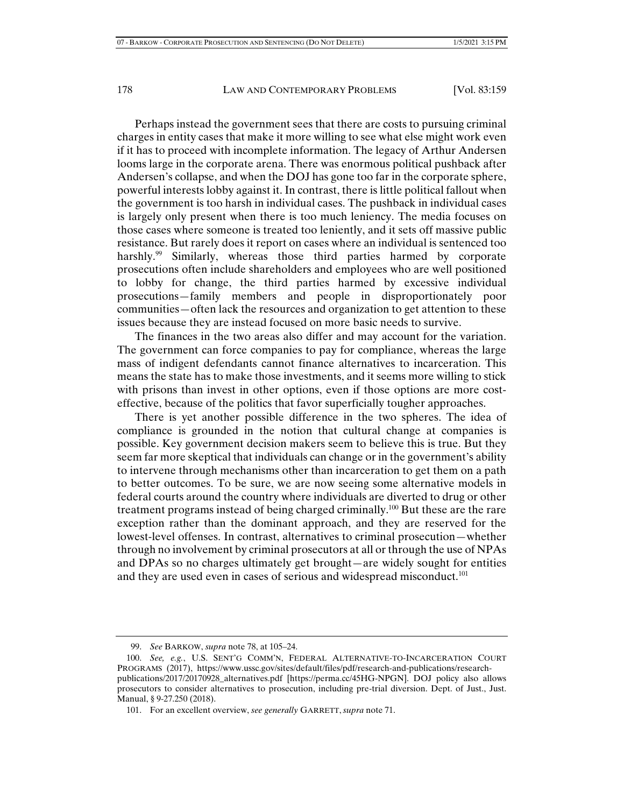Perhaps instead the government sees that there are costs to pursuing criminal charges in entity cases that make it more willing to see what else might work even if it has to proceed with incomplete information. The legacy of Arthur Andersen looms large in the corporate arena. There was enormous political pushback after Andersen's collapse, and when the DOJ has gone too far in the corporate sphere, powerful interests lobby against it. In contrast, there is little political fallout when the government is too harsh in individual cases. The pushback in individual cases is largely only present when there is too much leniency. The media focuses on those cases where someone is treated too leniently, and it sets off massive public resistance. But rarely does it report on cases where an individual is sentenced too harshly.<sup>99</sup> Similarly, whereas those third parties harmed by corporate prosecutions often include shareholders and employees who are well positioned to lobby for change, the third parties harmed by excessive individual prosecutions—family members and people in disproportionately poor communities—often lack the resources and organization to get attention to these issues because they are instead focused on more basic needs to survive.

The finances in the two areas also differ and may account for the variation. The government can force companies to pay for compliance, whereas the large mass of indigent defendants cannot finance alternatives to incarceration. This means the state has to make those investments, and it seems more willing to stick with prisons than invest in other options, even if those options are more costeffective, because of the politics that favor superficially tougher approaches.

There is yet another possible difference in the two spheres. The idea of compliance is grounded in the notion that cultural change at companies is possible. Key government decision makers seem to believe this is true. But they seem far more skeptical that individuals can change or in the government's ability to intervene through mechanisms other than incarceration to get them on a path to better outcomes. To be sure, we are now seeing some alternative models in federal courts around the country where individuals are diverted to drug or other treatment programs instead of being charged criminally.100 But these are the rare exception rather than the dominant approach, and they are reserved for the lowest-level offenses. In contrast, alternatives to criminal prosecution—whether through no involvement by criminal prosecutors at all or through the use of NPAs and DPAs so no charges ultimately get brought—are widely sought for entities and they are used even in cases of serious and widespread misconduct.<sup>101</sup>

 <sup>99.</sup> *See* BARKOW, *supra* note 78, at 105–24.

 <sup>100.</sup> *See, e.g.*, U.S. SENT'G COMM'N, FEDERAL ALTERNATIVE-TO-INCARCERATION COURT PROGRAMS (2017), https://www.ussc.gov/sites/default/files/pdf/research-and-publications/researchpublications/2017/20170928\_alternatives.pdf [https://perma.cc/45HG-NPGN]. DOJ policy also allows prosecutors to consider alternatives to prosecution, including pre-trial diversion. Dept. of Just., Just. Manual, § 9-27.250 (2018).

 <sup>101.</sup> For an excellent overview, *see generally* GARRETT, *supra* note 71.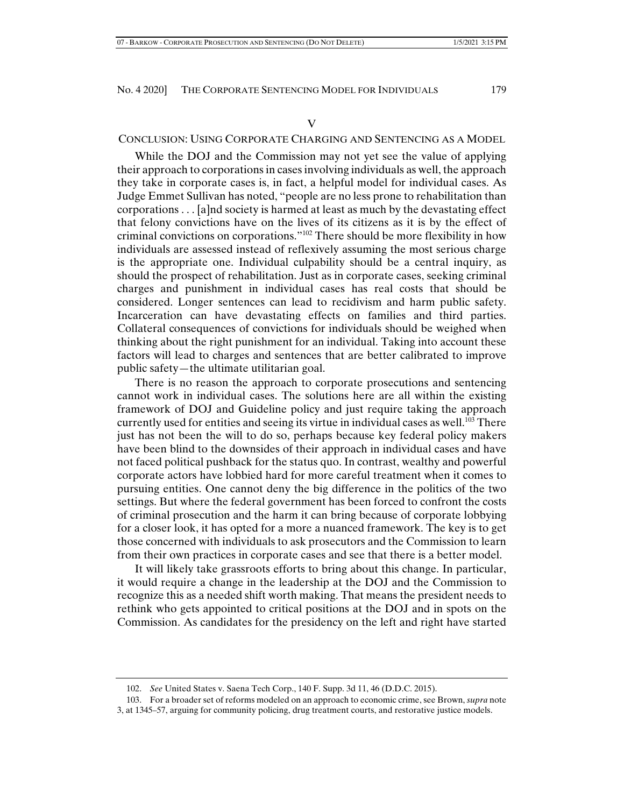#### V

## CONCLUSION: USING CORPORATE CHARGING AND SENTENCING AS A MODEL

While the DOJ and the Commission may not yet see the value of applying their approach to corporations in cases involving individuals as well, the approach they take in corporate cases is, in fact, a helpful model for individual cases. As Judge Emmet Sullivan has noted, "people are no less prone to rehabilitation than corporations . . . [a]nd society is harmed at least as much by the devastating effect that felony convictions have on the lives of its citizens as it is by the effect of criminal convictions on corporations."102 There should be more flexibility in how individuals are assessed instead of reflexively assuming the most serious charge is the appropriate one. Individual culpability should be a central inquiry, as should the prospect of rehabilitation. Just as in corporate cases, seeking criminal charges and punishment in individual cases has real costs that should be considered. Longer sentences can lead to recidivism and harm public safety. Incarceration can have devastating effects on families and third parties. Collateral consequences of convictions for individuals should be weighed when thinking about the right punishment for an individual. Taking into account these factors will lead to charges and sentences that are better calibrated to improve public safety—the ultimate utilitarian goal.

There is no reason the approach to corporate prosecutions and sentencing cannot work in individual cases. The solutions here are all within the existing framework of DOJ and Guideline policy and just require taking the approach currently used for entities and seeing its virtue in individual cases as well.<sup>103</sup> There just has not been the will to do so, perhaps because key federal policy makers have been blind to the downsides of their approach in individual cases and have not faced political pushback for the status quo. In contrast, wealthy and powerful corporate actors have lobbied hard for more careful treatment when it comes to pursuing entities. One cannot deny the big difference in the politics of the two settings. But where the federal government has been forced to confront the costs of criminal prosecution and the harm it can bring because of corporate lobbying for a closer look, it has opted for a more a nuanced framework. The key is to get those concerned with individuals to ask prosecutors and the Commission to learn from their own practices in corporate cases and see that there is a better model.

It will likely take grassroots efforts to bring about this change. In particular, it would require a change in the leadership at the DOJ and the Commission to recognize this as a needed shift worth making. That means the president needs to rethink who gets appointed to critical positions at the DOJ and in spots on the Commission. As candidates for the presidency on the left and right have started

 103. For a broader set of reforms modeled on an approach to economic crime, see Brown, *supra* note 3, at 1345–57, arguing for community policing, drug treatment courts, and restorative justice models.

 <sup>102.</sup> *See* United States v. Saena Tech Corp., 140 F. Supp. 3d 11, 46 (D.D.C. 2015).